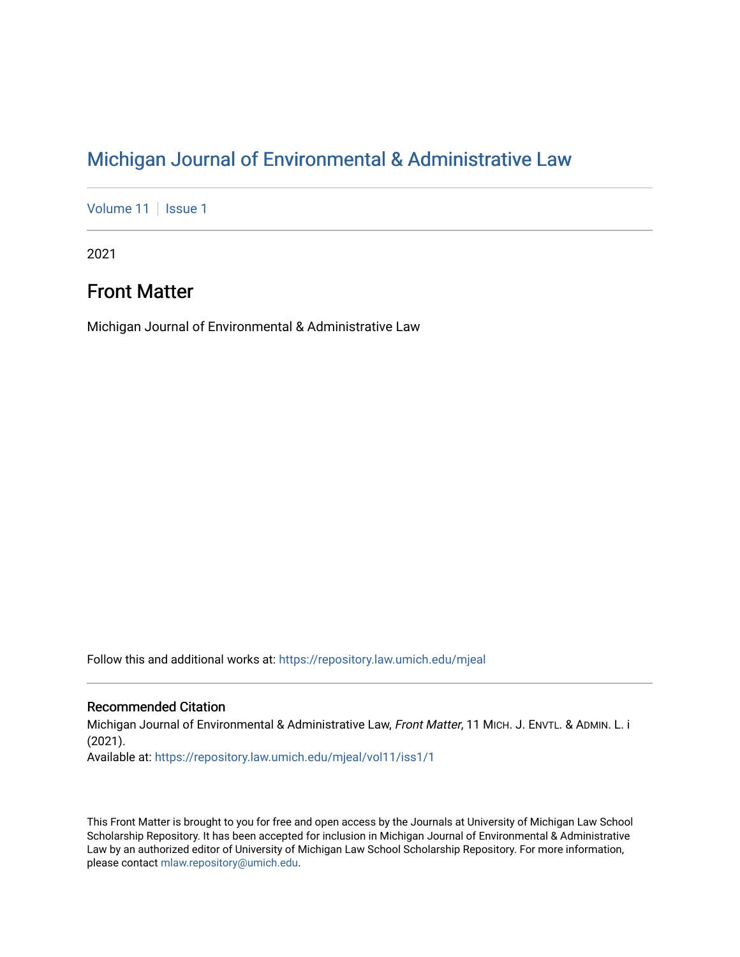[Volume 11](https://repository.law.umich.edu/mjeal/vol11) | [Issue 1](https://repository.law.umich.edu/mjeal/vol11/iss1)

2021

## Front Matter

Michigan Journal of Environmental & Administrative Law

Follow this and additional works at: [https://repository.law.umich.edu/mjeal](https://repository.law.umich.edu/mjeal?utm_source=repository.law.umich.edu%2Fmjeal%2Fvol11%2Fiss1%2F1&utm_medium=PDF&utm_campaign=PDFCoverPages)

### Recommended Citation

Michigan Journal of Environmental & Administrative Law, Front Matter, 11 MICH. J. ENVTL. & ADMIN. L. i (2021). Available at: [https://repository.law.umich.edu/mjeal/vol11/iss1/1](https://repository.law.umich.edu/mjeal/vol11/iss1/1?utm_source=repository.law.umich.edu%2Fmjeal%2Fvol11%2Fiss1%2F1&utm_medium=PDF&utm_campaign=PDFCoverPages)

This Front Matter is brought to you for free and open access by the Journals at University of Michigan Law School Scholarship Repository. It has been accepted for inclusion in Michigan Journal of Environmental & Administrative Law by an authorized editor of University of Michigan Law School Scholarship Repository. For more information, please contact [mlaw.repository@umich.edu.](mailto:mlaw.repository@umich.edu)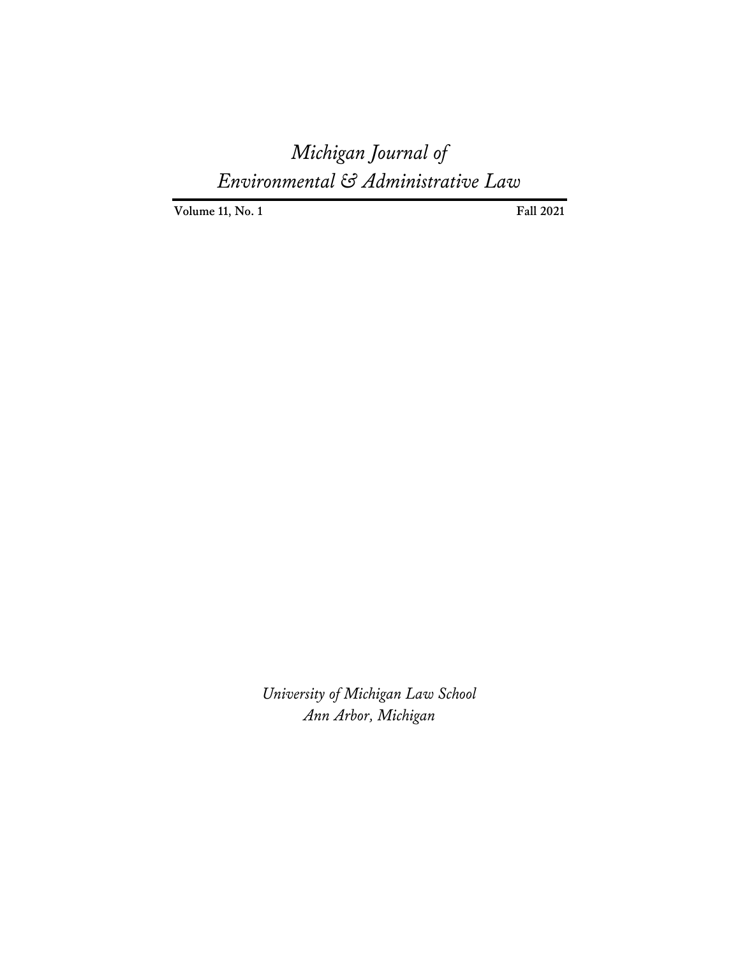**Volume 11, No. 1** Fall 2021

*University of Michigan Law School Ann Arbor, Michigan*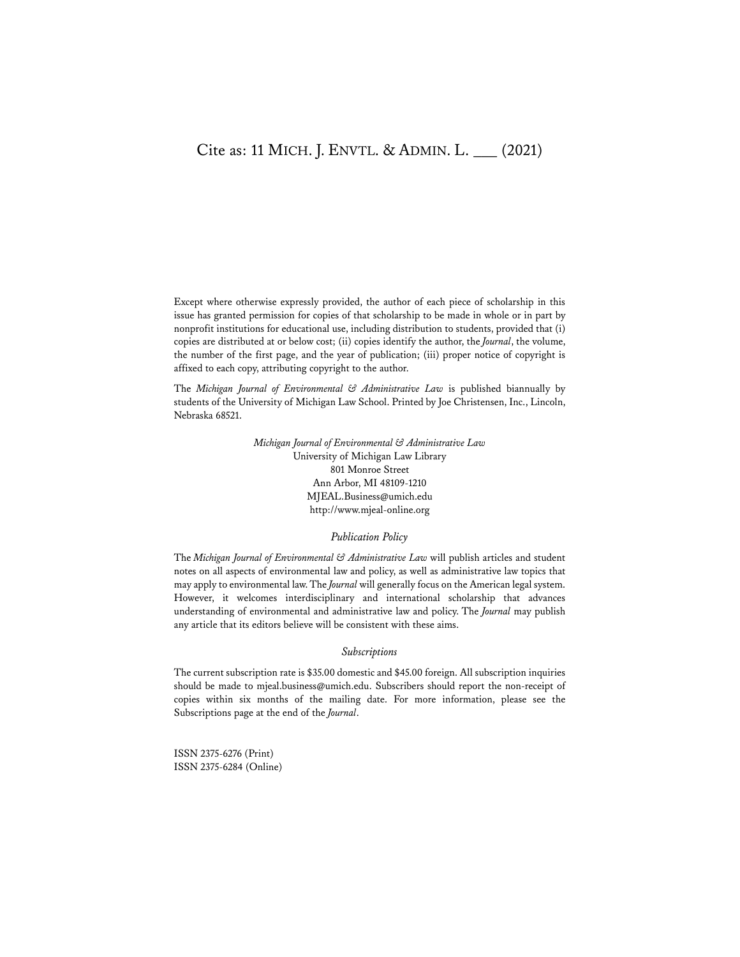## Cite as: 11 MICH. J. ENVTL. & ADMIN. L. \_\_\_ (2021)

Except where otherwise expressly provided, the author of each piece of scholarship in this issue has granted permission for copies of that scholarship to be made in whole or in part by nonprofit institutions for educational use, including distribution to students, provided that (i) copies are distributed at or below cost; (ii) copies identify the author, the *Journal*, the volume, the number of the first page, and the year of publication; (iii) proper notice of copyright is affixed to each copy, attributing copyright to the author.

The *Michigan Journal of Environmental & Administrative Law* is published biannually by students of the University of Michigan Law School. Printed by Joe Christensen, Inc., Lincoln, Nebraska 68521.

> *Michigan Journal of Environmental & Administrative Law* University of Michigan Law Library 801 Monroe Street Ann Arbor, MI 48109-1210 MJEAL.Business@umich.edu http://www.mjeal-online.org

#### *Publication Policy*

The *Michigan Journal of Environmental & Administrative Law* will publish articles and student notes on all aspects of environmental law and policy, as well as administrative law topics that may apply to environmental law. The *Journal* will generally focus on the American legal system. However, it welcomes interdisciplinary and international scholarship that advances understanding of environmental and administrative law and policy. The *Journal* may publish any article that its editors believe will be consistent with these aims.

#### *Subscriptions*

The current subscription rate is \$35.00 domestic and \$45.00 foreign. All subscription inquiries should be made to mjeal.business@umich.edu. Subscribers should report the non-receipt of copies within six months of the mailing date. For more information, please see the Subscriptions page at the end of the *Journal*.

ISSN 2375-6276 (Print) ISSN 2375-6284 (Online)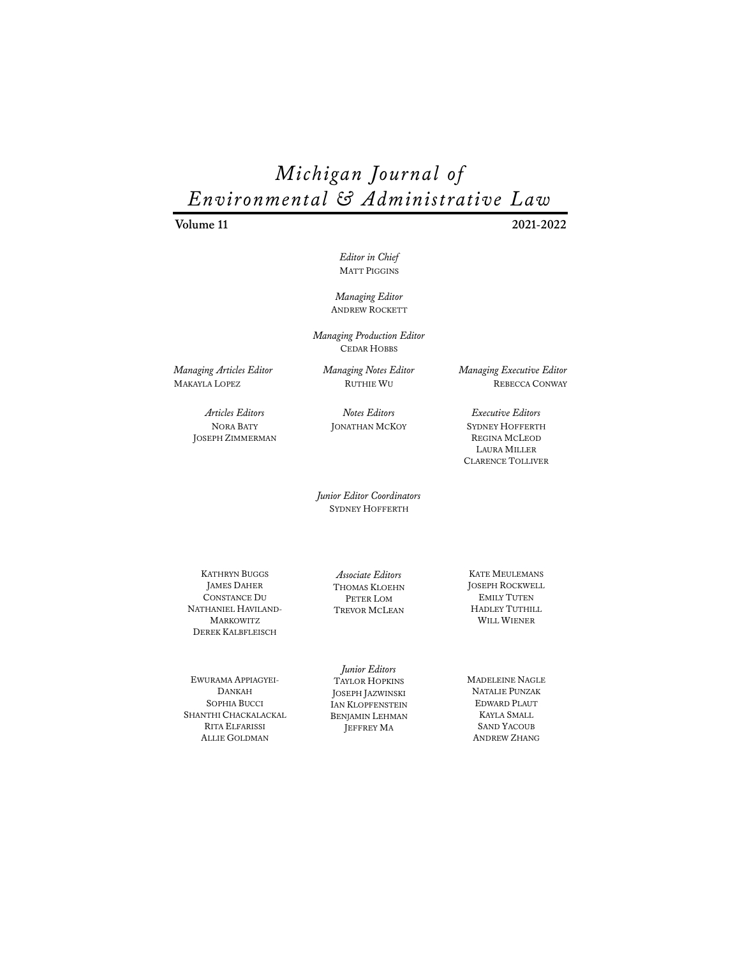**Volume 11 2021-2022** 

*Editor in Chief*  MATT PIGGINS

*Managing Editor*  ANDREW ROCKETT

*Managing Production Editor*  CEDAR HOBBS

*Managing Articles Editor*  MAKAYLA LOPEZ

*Managing Notes Editor*  RUTHIE WU

*Articles Editors* NORA BATY JOSEPH ZIMMERMAN

*Notes Editors* JONATHAN MCKOY *Executive Editors*

*Managing Executive Editor*  REBECCA CONWAY

SYDNEY HOFFERTH REGINA MCLEOD LAURA MILLER CLARENCE TOLLIVER

*Junior Editor Coordinators*  SYDNEY HOFFERTH

KATHRYN BUGGS JAMES DAHER CONSTANCE DU NATHANIEL HAVILAND-**MARKOWITZ** DEREK KALBFLEISCH

EWURAMA APPIAGYEI-DANKAH SOPHIA BUCCI SHANTHI CHACKALACKAL RITA ELFARISSI ALLIE GOLDMAN

*Associate Editors*  THOMAS KLOEHN PETER LOM TREVOR MCLEAN

*Junior Editors*  TAYLOR HOPKINS JOSEPH JAZWINSKI IAN KLOPFENSTEIN BENJAMIN LEHMAN JEFFREY MA

KATE MEULEMANS JOSEPH ROCKWELL EMILY TUTEN HADLEY TUTHILL WILL WIENER

MADELEINE NAGLE NATALIE PUNZAK EDWARD PLAUT KAYLA SMALL SAND YACOUB ANDREW ZHANG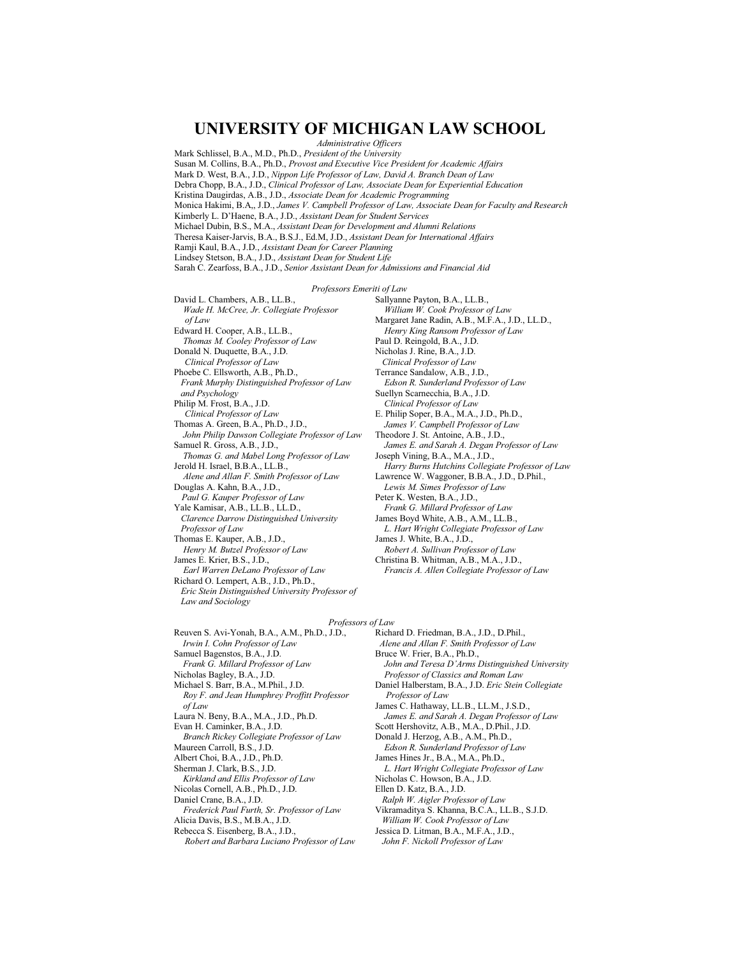## UNIVERSITY OF MICHIGAN LAW SCHOOL

**Administrative Officers** Mark Schlissel, B.A., M.D., Ph.D., President of the University

Susan M. Collins, B.A., Ph.D., Provost and Executive Vice President for Academic Affairs

Mark D. West, B.A., J.D., Nippon Life Professor of Law, David A. Branch Dean of Law Debra Chopp, B.A., J.D., Clinical Professor of Law, Associate Dean for Experiential Education Kristina Daugirdas, A.B., J.D., Associate Dean for Academic Programming Monica Hakimi, B.A., J.D., James V. Campbell Professor of Law, Associate Dean for Faculty and Research Kimberly L. D'Haene, B.A., J.D., Assistant Dean for Student Services Michael Dubin, B.S., M.A., Assistant Dean for Development and Alumni Relations Theresa Kaiser-Jarvis, B.A., B.S.J., Ed.M, J.D., Assistant Dean for International Affairs Ramji Kaul, B.A., J.D., Assistant Dean for Career Planning Lindsey Stetson, B.A., J.D., Assistant Dean for Student Life Sarah C. Zearfoss, B.A., J.D., Senior Assistant Dean for Admissions and Financial Aid Professors Emeriti of Law David L. Chambers, A.B., LL.B., Sallyanne Payton, B.A., LL.B., Wade H. McCree, Jr. Collegiate Professor William W. Cook Professor of Law Margaret Jane Radin, A.B., M.F.A., J.D., LL.D., of Law Edward H. Cooper, A.B., LL.B., Henry King Ransom Professor of Law Thomas M. Cooley Professor of Law Paul D. Reingold, B.A., J.D. Donald N. Duquette, B.A., J.D. Nicholas J. Rine, B.A., J.D. Clinical Professor of Law Clinical Professor of Law Phoebe C. Ellsworth, A.B., Ph.D., Terrance Sandalow, A.B., J.D., Frank Murphy Distinguished Professor of Law Edson R. Sunderland Professor of Law and Psychology Suellyn Scarnecchia, B.A., J.D. Clinical Professor of Law Philip M. Frost, B.A., J.D. Clinical Professor of Law E. Philip Soper, B.A., M.A., J.D., Ph.D., Thomas A. Green, B.A., Ph.D., J.D., James V. Campbell Professor of Law John Philip Dawson Collegiate Professor of Law Theodore J. St. Antoine, A.B., J.D., Samuel R. Gross, A.B., J.D., James E. and Sarah A. Degan Professor of Law Thomas G. and Mabel Long Professor of Law Joseph Vining, B.A., M.A., J.D., Jerold H. Israel, B.B.A., LL.B., Harry Burns Hutchins Collegiate Professor of Law Lawrence W. Waggoner, B.B.A., J.D., D.Phil., Alene and Allan F. Smith Professor of Law

Lewis M. Simes Professor of Law Peter K. Westen, B.A., J.D., Frank G. Millard Professor of Law

James Boyd White, A.B., A.M., LL.B., L. Hart Wright Collegiate Professor of Law James J. White, B.A., J.D., Robert A. Sullivan Professor of Law

Christina B. Whitman, A.B., M.A., J.D., Francis A. Allen Collegiate Professor of Law

Professors of Law

Reuven S. Avi-Yonah, B.A., A.M., Ph.D., J.D., Irwin I. Cohn Professor of Law Samuel Bagenstos, B.A., J.D. Frank G. Millard Professor of Law Nicholas Bagley, B.A., J.D. Michael S. Barr, B.A., M.Phil., J.D. Roy F. and Jean Humphrey Proffitt Professor of Law Laura N. Beny, B.A., M.A., J.D., Ph.D. Evan H. Caminker, B.A., J.D. Branch Rickey Collegiate Professor of Law Maureen Carroll, B.S., J.D. Albert Choi, B.A., J.D., Ph.D. Sherman J. Clark, B.S., J.D. Kirkland and Ellis Professor of Law Nicolas Cornell, A.B., Ph.D., J.D. Daniel Crane, B.A., J.D. Frederick Paul Furth, Sr. Professor of Law Alicia Davis, B.S., M.B.A., J.D. Rebecca S. Eisenberg, B.A., J.D., Robert and Barbara Luciano Professor of Law

Douglas A. Kahn, B.A., J.D., Paul G. Kauper Professor of Law

Thomas E. Kauper, A.B., J.D.,

James E. Krier, B.S., J.D.,

Law and Sociology

Professor of Law

Yale Kamisar, A.B., LL.B., LL.D.,

Henry M. Butzel Professor of Law

Richard O. Lempert, A.B., J.D., Ph.D.,

Earl Warren DeLano Professor of Law

Eric Stein Distinguished University Professor of

Clarence Darrow Distinguished University

Richard D. Friedman, B.A., J.D., D.Phil., Alene and Allan F. Smith Professor of Law Bruce W. Frier, B.A., Ph.D., John and Teresa D'Arms Distinguished University Professor of Classics and Roman Law Daniel Halberstam, B.A., J.D. Eric Stein Collegiate Professor of Law James C. Hathaway, LL.B., LL.M., J.S.D., James E. and Sarah A. Degan Professor of Law Scott Hershovitz, A.B., M.A., D.Phil., J.D. Donald J. Herzog, A.B., A.M., Ph.D., Edson R. Sunderland Professor of Law

James Hines Jr., B.A., M.A., Ph.D.,

L. Hart Wright Collegiate Professor of Law

Nicholas C. Howson, B.A., J.D.

Ellen D. Katz, B.A., J.D.

Ralph W. Aigler Professor of Law

Vikramaditya S. Khanna, B.C.A., LL.B., S.J.D. William W. Cook Professor of Law

Jessica D. Litman, B.A., M.F.A., J.D.,

John F. Nickoll Professor of Law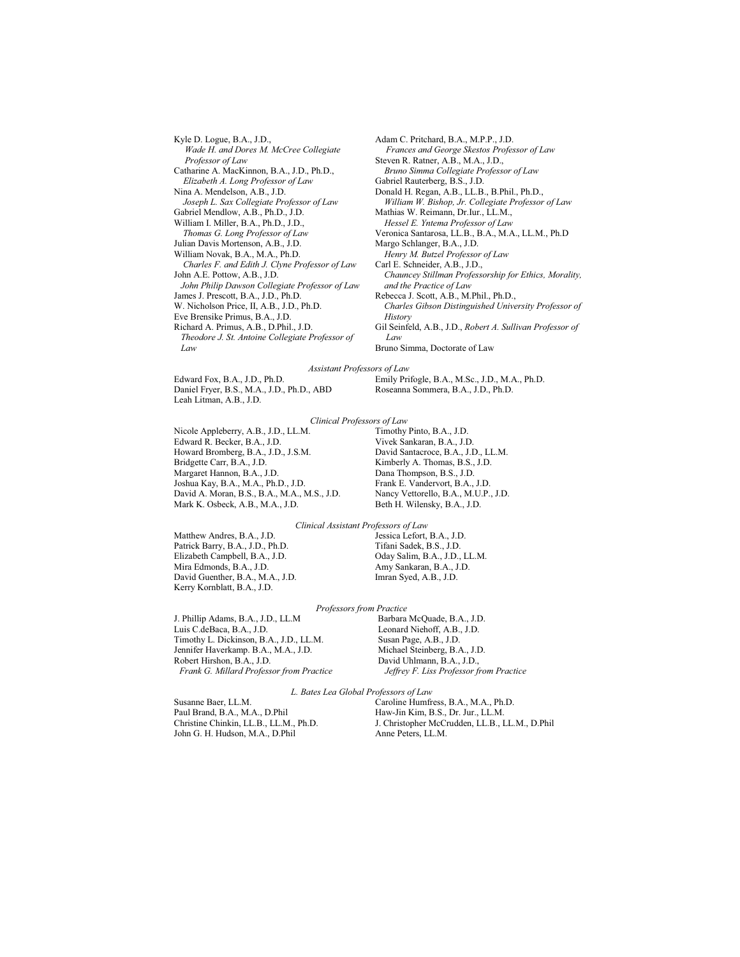Kyle D. Logue, B.A., J.D., Wade H. and Dores M. McCree Collegiate Professor of Law Catharine A. MacKinnon, B.A., J.D., Ph.D., Elizabeth A. Long Professor of Law Nina A. Mendelson, A.B., J.D. Joseph L. Sax Collegiate Professor of Law Gabriel Mendlow, A.B., Ph.D., J.D. William I. Miller, B.A., Ph.D., J.D., Thomas G. Long Professor of Law Julian Davis Mortenson, A.B., J.D. William Novak, B.A., M.A., Ph.D. Charles F. and Edith J. Clyne Professor of Law John A.E. Pottow, A.B., J.D. John Philip Dawson Collegiate Professor of Law James J. Prescott, B.A., J.D., Ph.D. W. Nicholson Price, II, A.B., J.D., Ph.D. Eve Brensike Primus, B.A., J.D. Richard A. Primus, A.B., D.Phil., J.D. Theodore J. St. Antoine Collegiate Professor of  $Law$ 

Adam C. Pritchard, B.A., M.P.P., J.D. Frances and George Skestos Professor of Law Steven R. Ratner, A.B., M.A., J.D., Bruno Simma Collegiate Professor of Law Gabriel Rauterberg, B.S., J.D. Donald H. Regan, A.B., LL.B., B.Phil., Ph.D., William W. Bishop, Jr. Collegiate Professor of Law Mathias W. Reimann, Dr.Iur., LL.M., Hessel E. Yntema Professor of Law Veronica Santarosa, LL.B., B.A., M.A., LL.M., Ph.D Margo Schlanger, B.A., J.D. Henry M. Butzel Professor of Law Carl E. Schneider, A.B., J.D., Chauncey Stillman Professorship for Ethics, Morality, and the Practice of Law Rebecca J. Scott, A.B., M.Phil., Ph.D., Charles Gibson Distinguished University Professor of History Gil Seinfeld, A.B., J.D., Robert A. Sullivan Professor of Law

Bruno Simma, Doctorate of Law

#### Assistant Professors of Law

Edward Fox, B.A., J.D., Ph.D. Daniel Fryer, B.S., M.A., J.D., Ph.D., ABD Leah Litman, A.B., J.D.

Emily Prifogle, B.A., M.Sc., J.D., M.A., Ph.D. Roseanna Sommera, B.A., J.D., Ph.D.

#### Clinical Professors of Law

Nicole Appleberry, A.B., J.D., LL.M. Edward R. Becker, B.A., J.D. Howard Bromberg, B.A., J.D., J.S.M. Bridgette Carr, B.A., J.D. Margaret Hannon, B.A., J.D. Joshua Kay, B.A., M.A., Ph.D., J.D. David A. Moran, B.S., B.A., M.A., M.S., J.D. Mark K. Osbeck, A.B., M.A., J.D.

Timothy Pinto, B.A., J.D. Vivek Sankaran, B.A., J.D. David Santacroce, B.A., J.D., LL.M. Kimberly A. Thomas, B.S., J.D. Dana Thompson, B.S., J.D. Frank E. Vandervort, B.A., J.D. Nancy Vettorello, B.A., M.U.P., J.D. Beth H. Wilensky, B.A., J.D.

#### Clinical Assistant Professors of Law

Matthew Andres, B.A., J.D. Patrick Barry, B.A., J.D., Ph.D. Elizabeth Campbell, B.A., J.D. Mira Edmonds, B.A., J.D. David Guenther, B.A., M.A., J.D. Kerry Kornblatt, B.A., J.D.

Jessica Lefort, B.A., J.D. Tifani Sadek, B.S., J.D. Oday Salim, B.A., J.D., LL.M. Amy Sankaran, B.A., J.D. Imran Syed, A.B., J.D.

#### Professors from Practice

J. Phillip Adams, B.A., J.D., LL.M Luis C.deBaca, B.A., J.D. Timothy L. Dickinson, B.A., J.D., LL.M. Jennifer Haverkamp. B.A., M.A., J.D. Robert Hirshon, B.A., J.D. Frank G. Millard Professor from Practice Barbara McQuade, B.A., J.D. Leonard Niehoff, A.B., J.D. Susan Page, A.B., J.D. Michael Steinberg, B.A., J.D. David Uhlmann, B.A., J.D., Jeffrey F. Liss Professor from Practice

L. Bates Lea Global Professors of Law

Susanne Baer, LL.M. Paul Brand, B.A., M.A., D.Phil Christine Chinkin, LL.B., LL.M., Ph.D. John G. H. Hudson, M.A., D.Phil

Caroline Humfress, B.A., M.A., Ph.D. Haw-Jin Kim, B.S., Dr. Jur., LL.M. J. Christopher McCrudden, LL.B., LL.M., D.Phil Anne Peters, LL.M.